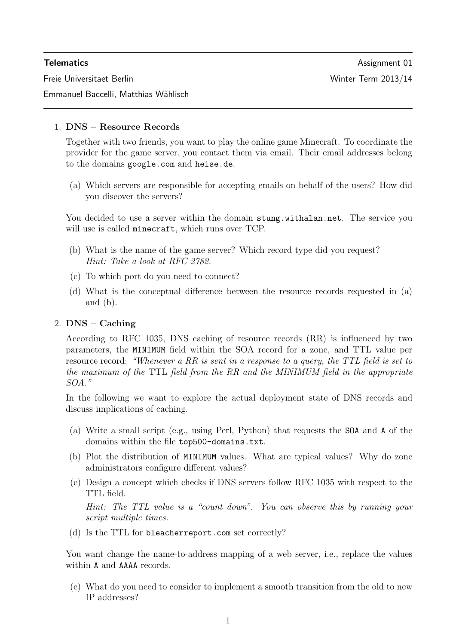Freie Universitaet Berlin Winter Term 2013/14

Emmanuel Baccelli, Matthias Wählisch

# 1. DNS – Resource Records

Together with two friends, you want to play the online game Minecraft. To coordinate the provider for the game server, you contact them via email. Their email addresses belong to the domains google.com and heise.de.

(a) Which servers are responsible for accepting emails on behalf of the users? How did you discover the servers?

You decided to use a server within the domain stung.withalan.net. The service you will use is called minecraft, which runs over TCP.

- (b) What is the name of the game server? Which record type did you request? Hint: Take a look at RFC 2782.
- (c) To which port do you need to connect?
- (d) What is the conceptual difference between the resource records requested in (a) and (b).

# 2. DNS – Caching

According to RFC 1035, DNS caching of resource records (RR) is influenced by two parameters, the MINIMUM field within the SOA record for a zone, and TTL value per resource record: "Whenever a RR is sent in a response to a query, the TTL field is set to the maximum of the TTL field from the RR and the MINIMUM field in the appropriate SOA."

In the following we want to explore the actual deployment state of DNS records and discuss implications of caching.

- (a) Write a small script (e.g., using Perl, Python) that requests the SOA and A of the domains within the file top500-domains.txt.
- (b) Plot the distribution of MINIMUM values. What are typical values? Why do zone administrators configure different values?
- (c) Design a concept which checks if DNS servers follow RFC 1035 with respect to the TTL field.

Hint: The TTL value is a "count down". You can observe this by running your script multiple times.

(d) Is the TTL for bleacherreport.com set correctly?

You want change the name-to-address mapping of a web server, i.e., replace the values within **A** and **AAAA** records.

(e) What do you need to consider to implement a smooth transition from the old to new IP addresses?